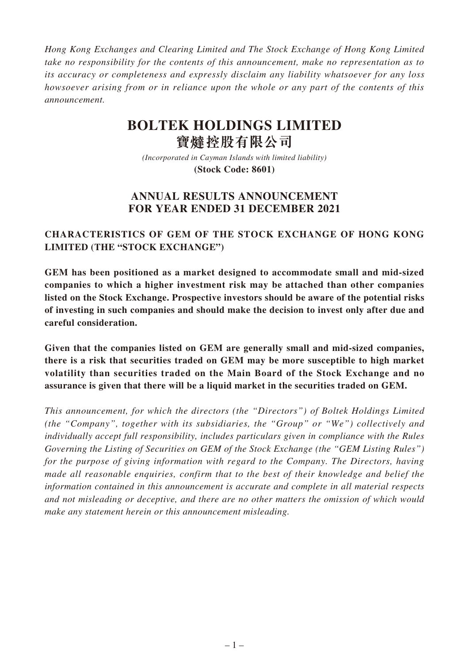*Hong Kong Exchanges and Clearing Limited and The Stock Exchange of Hong Kong Limited take no responsibility for the contents of this announcement, make no representation as to its accuracy or completeness and expressly disclaim any liability whatsoever for any loss howsoever arising from or in reliance upon the whole or any part of the contents of this announcement.*

# **BOLTEK HOLDINGS LIMITED 寶** 控股有限公司

*(Incorporated in Cayman Islands with limited liability)* **(Stock Code: 8601)**

# **ANNUAL RESULTS ANNOUNCEMENT FOR YEAR ENDED 31 DECEMBER 2021**

## **CHARACTERISTICS OF GEM OF THE STOCK EXCHANGE OF HONG KONG LIMITED (THE "STOCK EXCHANGE")**

**GEM has been positioned as a market designed to accommodate small and mid-sized companies to which a higher investment risk may be attached than other companies listed on the Stock Exchange. Prospective investors should be aware of the potential risks of investing in such companies and should make the decision to invest only after due and careful consideration.**

**Given that the companies listed on GEM are generally small and mid-sized companies, there is a risk that securities traded on GEM may be more susceptible to high market volatility than securities traded on the Main Board of the Stock Exchange and no assurance is given that there will be a liquid market in the securities traded on GEM.**

*This announcement, for which the directors (the "Directors") of Boltek Holdings Limited (the "Company", together with its subsidiaries, the "Group" or "We") collectively and individually accept full responsibility, includes particulars given in compliance with the Rules Governing the Listing of Securities on GEM of the Stock Exchange (the "GEM Listing Rules") for the purpose of giving information with regard to the Company. The Directors, having made all reasonable enquiries, confirm that to the best of their knowledge and belief the information contained in this announcement is accurate and complete in all material respects and not misleading or deceptive, and there are no other matters the omission of which would make any statement herein or this announcement misleading.*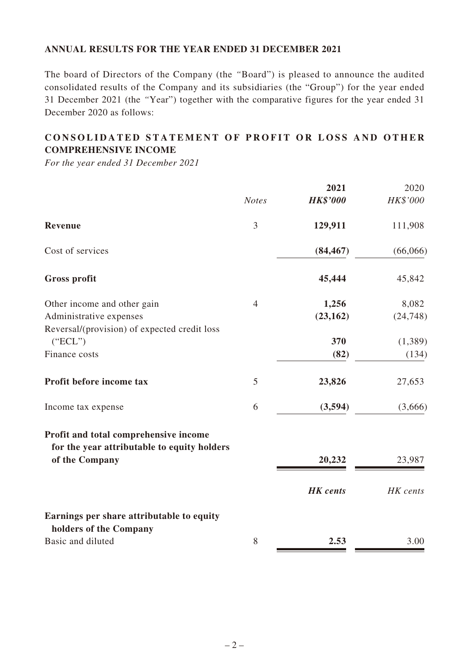### **ANNUAL RESULTS FOR THE YEAR ENDED 31 DECEMBER 2021**

The board of Directors of the Company (the *"*Board") is pleased to announce the audited consolidated results of the Company and its subsidiaries (the "Group") for the year ended 31 December 2021 (the *"*Year") together with the comparative figures for the year ended 31 December 2020 as follows:

# **CONSOLIDATED STATEMENT OF PROFIT OR LOSS AND OTHER COMPREHENSIVE INCOME**

*For the year ended 31 December 2021*

|                                                                                      |                | 2021            | 2020      |
|--------------------------------------------------------------------------------------|----------------|-----------------|-----------|
|                                                                                      | <b>Notes</b>   | <b>HK\$'000</b> | HK\$'000  |
| Revenue                                                                              | 3              | 129,911         | 111,908   |
| Cost of services                                                                     |                | (84, 467)       | (66,066)  |
| <b>Gross profit</b>                                                                  |                | 45,444          | 45,842    |
| Other income and other gain                                                          | $\overline{4}$ | 1,256           | 8,082     |
| Administrative expenses                                                              |                | (23, 162)       | (24, 748) |
| Reversal/(provision) of expected credit loss                                         |                |                 |           |
| ("ECL")                                                                              |                | 370             | (1,389)   |
| Finance costs                                                                        |                | (82)            | (134)     |
| Profit before income tax                                                             | 5              | 23,826          | 27,653    |
| Income tax expense                                                                   | 6              | (3,594)         | (3,666)   |
| Profit and total comprehensive income<br>for the year attributable to equity holders |                |                 |           |
| of the Company                                                                       |                | 20,232          | 23,987    |
|                                                                                      |                | <b>HK</b> cents | HK cents  |
| Earnings per share attributable to equity                                            |                |                 |           |
| holders of the Company                                                               |                |                 |           |
| Basic and diluted                                                                    | 8              | 2.53            | 3.00      |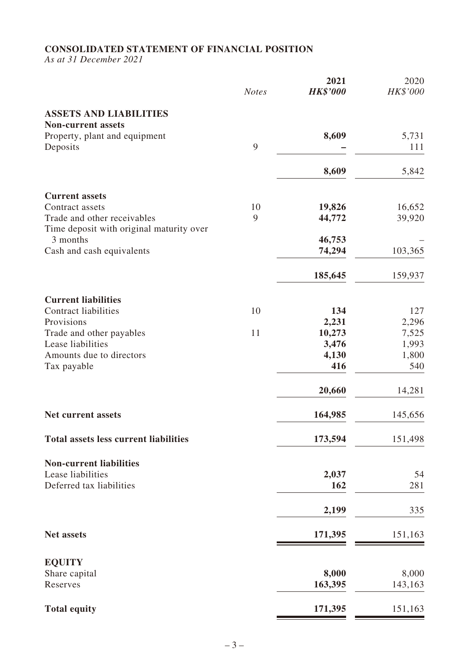# **CONSOLIDATED STATEMENT OF FINANCIAL POSITION**

*As at 31 December 2021*

|                                                      | <b>Notes</b> | 2021<br><b>HK\$'000</b> | 2020<br>HK\$'000 |
|------------------------------------------------------|--------------|-------------------------|------------------|
| <b>ASSETS AND LIABILITIES</b>                        |              |                         |                  |
| <b>Non-current assets</b>                            |              |                         |                  |
| Property, plant and equipment<br>Deposits            | 9            | 8,609                   | 5,731<br>111     |
|                                                      |              |                         |                  |
|                                                      |              | 8,609                   | 5,842            |
| <b>Current assets</b>                                |              |                         |                  |
| Contract assets                                      | 10           | 19,826                  | 16,652           |
| Trade and other receivables                          | 9            | 44,772                  | 39,920           |
| Time deposit with original maturity over<br>3 months |              | 46,753                  |                  |
| Cash and cash equivalents                            |              | 74,294                  | 103,365          |
|                                                      |              |                         |                  |
|                                                      |              | 185,645                 | 159,937          |
| <b>Current liabilities</b>                           |              |                         |                  |
| <b>Contract liabilities</b>                          | 10           | 134                     | 127              |
| Provisions                                           |              | 2,231                   | 2,296            |
| Trade and other payables<br>Lease liabilities        | 11           | 10,273<br>3,476         | 7,525<br>1,993   |
| Amounts due to directors                             |              | 4,130                   | 1,800            |
| Tax payable                                          |              | 416                     | 540              |
|                                                      |              | 20,660                  | 14,281           |
| <b>Net current assets</b>                            |              | 164,985                 | 145,656          |
| <b>Total assets less current liabilities</b>         |              | 173,594                 | 151,498          |
| <b>Non-current liabilities</b>                       |              |                         |                  |
| Lease liabilities                                    |              | 2,037                   | 54               |
| Deferred tax liabilities                             |              | 162                     | 281              |
|                                                      |              | 2,199                   | 335              |
| <b>Net assets</b>                                    |              | 171,395                 | 151,163          |
| <b>EQUITY</b>                                        |              |                         |                  |
| Share capital                                        |              | 8,000                   | 8,000            |
| Reserves                                             |              | 163,395                 | 143,163          |
| <b>Total equity</b>                                  |              | 171,395                 | 151,163          |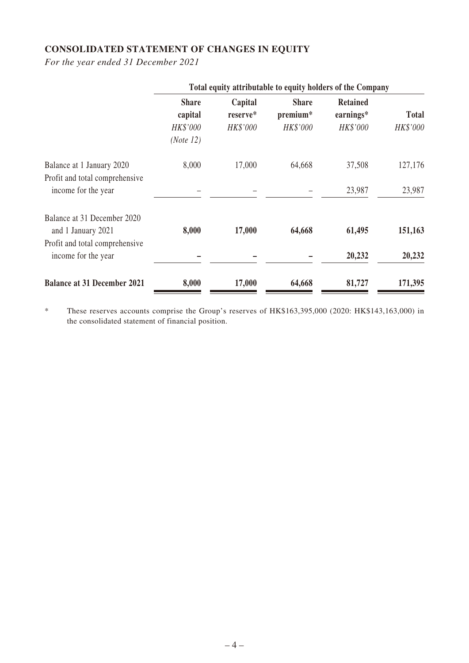# **CONSOLIDATED STATEMENT OF CHANGES IN EQUITY**

*For the year ended 31 December 2021*

|                                                             | Total equity attributable to equity holders of the Company |                                 |                                      |                                          |                          |
|-------------------------------------------------------------|------------------------------------------------------------|---------------------------------|--------------------------------------|------------------------------------------|--------------------------|
|                                                             | <b>Share</b><br>capital<br>HK\$'000                        | Capital<br>reserve*<br>HK\$'000 | <b>Share</b><br>premium*<br>HK\$'000 | <b>Retained</b><br>earnings*<br>HK\$'000 | <b>Total</b><br>HK\$'000 |
|                                                             | (Note 12)                                                  |                                 |                                      |                                          |                          |
| Balance at 1 January 2020<br>Profit and total comprehensive | 8,000                                                      | 17,000                          | 64,668                               | 37,508                                   | 127,176                  |
| income for the year                                         |                                                            |                                 |                                      | 23,987                                   | 23,987                   |
| Balance at 31 December 2020<br>and 1 January 2021           | 8,000                                                      | 17,000                          | 64,668                               | 61,495                                   | 151,163                  |
| Profit and total comprehensive<br>income for the year       |                                                            |                                 |                                      | 20,232                                   | 20,232                   |
| <b>Balance at 31 December 2021</b>                          | 8,000                                                      | 17,000                          | 64,668                               | 81,727                                   | 171,395                  |

\* These reserves accounts comprise the Group's reserves of HK\$163,395,000 (2020: HK\$143,163,000) in the consolidated statement of financial position.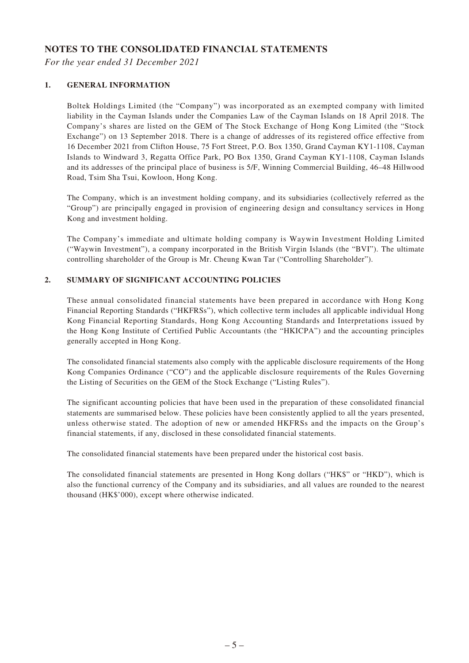### **NOTES TO THE CONSOLIDATED FINANCIAL STATEMENTS**

*For the year ended 31 December 2021*

#### **1. GENERAL INFORMATION**

Boltek Holdings Limited (the "Company") was incorporated as an exempted company with limited liability in the Cayman Islands under the Companies Law of the Cayman Islands on 18 April 2018. The Company's shares are listed on the GEM of The Stock Exchange of Hong Kong Limited (the "Stock Exchange") on 13 September 2018. There is a change of addresses of its registered office effective from 16 December 2021 from Clifton House, 75 Fort Street, P.O. Box 1350, Grand Cayman KY1-1108, Cayman Islands to Windward 3, Regatta Office Park, PO Box 1350, Grand Cayman KY1-1108, Cayman Islands and its addresses of the principal place of business is 5/F, Winning Commercial Building, 46–48 Hillwood Road, Tsim Sha Tsui, Kowloon, Hong Kong.

The Company, which is an investment holding company, and its subsidiaries (collectively referred as the "Group") are principally engaged in provision of engineering design and consultancy services in Hong Kong and investment holding.

The Company's immediate and ultimate holding company is Waywin Investment Holding Limited ("Waywin Investment"), a company incorporated in the British Virgin Islands (the "BVI"). The ultimate controlling shareholder of the Group is Mr. Cheung Kwan Tar ("Controlling Shareholder").

#### **2. SUMMARY OF SIGNIFICANT ACCOUNTING POLICIES**

These annual consolidated financial statements have been prepared in accordance with Hong Kong Financial Reporting Standards ("HKFRSs"), which collective term includes all applicable individual Hong Kong Financial Reporting Standards, Hong Kong Accounting Standards and Interpretations issued by the Hong Kong Institute of Certified Public Accountants (the "HKICPA") and the accounting principles generally accepted in Hong Kong.

The consolidated financial statements also comply with the applicable disclosure requirements of the Hong Kong Companies Ordinance ("CO") and the applicable disclosure requirements of the Rules Governing the Listing of Securities on the GEM of the Stock Exchange ("Listing Rules").

The significant accounting policies that have been used in the preparation of these consolidated financial statements are summarised below. These policies have been consistently applied to all the years presented, unless otherwise stated. The adoption of new or amended HKFRSs and the impacts on the Group's financial statements, if any, disclosed in these consolidated financial statements.

The consolidated financial statements have been prepared under the historical cost basis.

The consolidated financial statements are presented in Hong Kong dollars ("HK\$" or "HKD"), which is also the functional currency of the Company and its subsidiaries, and all values are rounded to the nearest thousand (HK\$'000), except where otherwise indicated.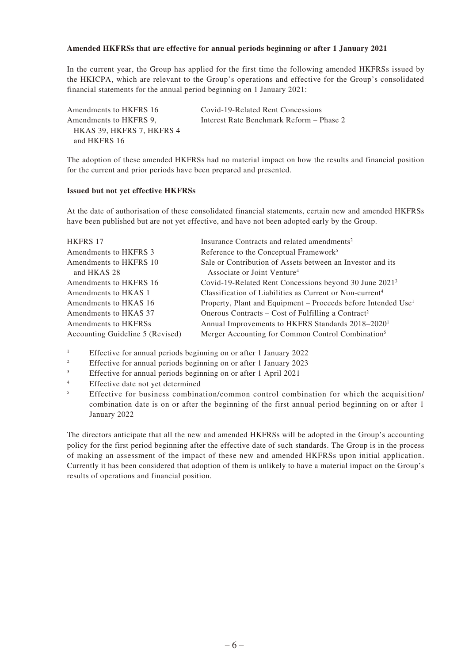#### **Amended HKFRSs that are effective for annual periods beginning or after 1 January 2021**

In the current year, the Group has applied for the first time the following amended HKFRSs issued by the HKICPA, which are relevant to the Group's operations and effective for the Group's consolidated financial statements for the annual period beginning on 1 January 2021:

| Amendments to HKFRS 16    | Covid-19-Related Rent Concessions        |
|---------------------------|------------------------------------------|
| Amendments to HKFRS 9.    | Interest Rate Benchmark Reform – Phase 2 |
| HKAS 39. HKFRS 7. HKFRS 4 |                                          |
| and HKFRS 16              |                                          |

The adoption of these amended HKFRSs had no material impact on how the results and financial position for the current and prior periods have been prepared and presented.

#### **Issued but not yet effective HKFRSs**

At the date of authorisation of these consolidated financial statements, certain new and amended HKFRSs have been published but are not yet effective, and have not been adopted early by the Group.

| <b>HKFRS 17</b>                  | Insurance Contracts and related amendments <sup>2</sup>                   |
|----------------------------------|---------------------------------------------------------------------------|
| Amendments to HKFRS 3            | Reference to the Conceptual Framework <sup>5</sup>                        |
| Amendments to HKFRS 10           | Sale or Contribution of Assets between an Investor and its                |
| and HKAS 28                      | Associate or Joint Venture <sup>4</sup>                                   |
| Amendments to HKFRS 16           | Covid-19-Related Rent Concessions beyond 30 June 2021 <sup>3</sup>        |
| Amendments to HKAS 1             | Classification of Liabilities as Current or Non-current <sup>4</sup>      |
| Amendments to HKAS 16            | Property, Plant and Equipment – Proceeds before Intended Use <sup>1</sup> |
| Amendments to HKAS 37            | Onerous Contracts – Cost of Fulfilling a Contract <sup>2</sup>            |
| Amendments to HKFRSs             | Annual Improvements to HKFRS Standards 2018-2020 <sup>1</sup>             |
| Accounting Guideline 5 (Revised) | Merger Accounting for Common Control Combination <sup>5</sup>             |
|                                  |                                                                           |

<sup>1</sup> Effective for annual periods beginning on or after 1 January 2022

- <sup>2</sup> Effective for annual periods beginning on or after 1 January 2023
- <sup>3</sup> Effective for annual periods beginning on or after 1 April 2021
- <sup>4</sup> Effective date not yet determined
- <sup>5</sup> Effective for business combination/common control combination for which the acquisition/ combination date is on or after the beginning of the first annual period beginning on or after 1 January 2022

The directors anticipate that all the new and amended HKFRSs will be adopted in the Group's accounting policy for the first period beginning after the effective date of such standards. The Group is in the process of making an assessment of the impact of these new and amended HKFRSs upon initial application. Currently it has been considered that adoption of them is unlikely to have a material impact on the Group's results of operations and financial position.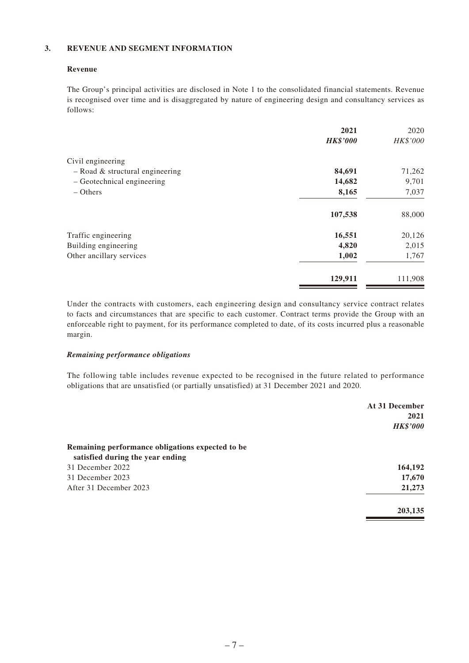#### **3. REVENUE AND SEGMENT INFORMATION**

#### **Revenue**

The Group's principal activities are disclosed in Note 1 to the consolidated financial statements. Revenue is recognised over time and is disaggregated by nature of engineering design and consultancy services as follows:

|                                   | 2021            | 2020     |
|-----------------------------------|-----------------|----------|
|                                   | <b>HK\$'000</b> | HK\$'000 |
| Civil engineering                 |                 |          |
| $-$ Road & structural engineering | 84,691          | 71,262   |
| - Geotechnical engineering        | 14,682          | 9,701    |
| $-$ Others                        | 8,165           | 7,037    |
|                                   | 107,538         | 88,000   |
| Traffic engineering               | 16,551          | 20,126   |
| Building engineering              | 4,820           | 2,015    |
| Other ancillary services          | 1,002           | 1,767    |
|                                   | 129,911         | 111,908  |

Under the contracts with customers, each engineering design and consultancy service contract relates to facts and circumstances that are specific to each customer. Contract terms provide the Group with an enforceable right to payment, for its performance completed to date, of its costs incurred plus a reasonable margin.

#### *Remaining performance obligations*

The following table includes revenue expected to be recognised in the future related to performance obligations that are unsatisfied (or partially unsatisfied) at 31 December 2021 and 2020.

|                                                  | At 31 December  |
|--------------------------------------------------|-----------------|
|                                                  | 2021            |
|                                                  | <b>HK\$'000</b> |
| Remaining performance obligations expected to be |                 |
| satisfied during the year ending                 |                 |
| 31 December 2022                                 | 164,192         |
| 31 December 2023                                 | 17,670          |
| After 31 December 2023                           | 21,273          |
|                                                  | 203,135         |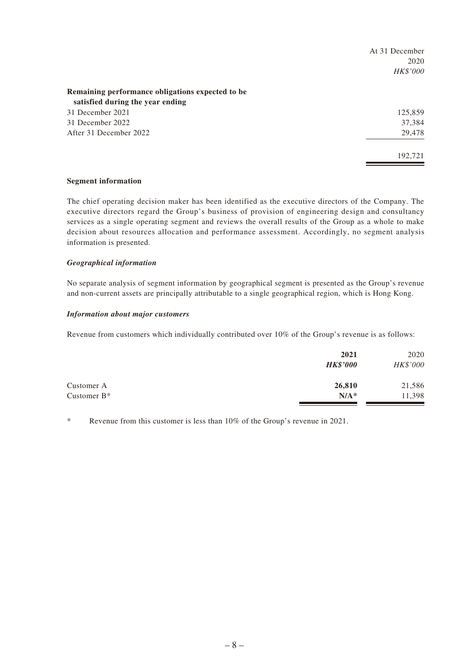|                                                  | At 31 December |
|--------------------------------------------------|----------------|
|                                                  | 2020           |
|                                                  | HK\$'000       |
| Remaining performance obligations expected to be |                |
| satisfied during the year ending                 |                |
| 31 December 2021                                 | 125,859        |
| 31 December 2022                                 | 37,384         |
| After 31 December 2022                           | 29,478         |
|                                                  | 192,721        |

#### **Segment information**

The chief operating decision maker has been identified as the executive directors of the Company. The executive directors regard the Group's business of provision of engineering design and consultancy services as a single operating segment and reviews the overall results of the Group as a whole to make decision about resources allocation and performance assessment. Accordingly, no segment analysis information is presented.

#### *Geographical information*

No separate analysis of segment information by geographical segment is presented as the Group's revenue and non-current assets are principally attributable to a single geographical region, which is Hong Kong.

#### *Information about major customers*

Revenue from customers which individually contributed over 10% of the Group's revenue is as follows:

|                | 2021<br><b>HK\$'000</b> | 2020<br>HK\$'000 |
|----------------|-------------------------|------------------|
| Customer A     | 26,810                  | 21,586           |
| Customer $B^*$ | $N/A^*$                 | 11,398           |

\* Revenue from this customer is less than 10% of the Group's revenue in 2021.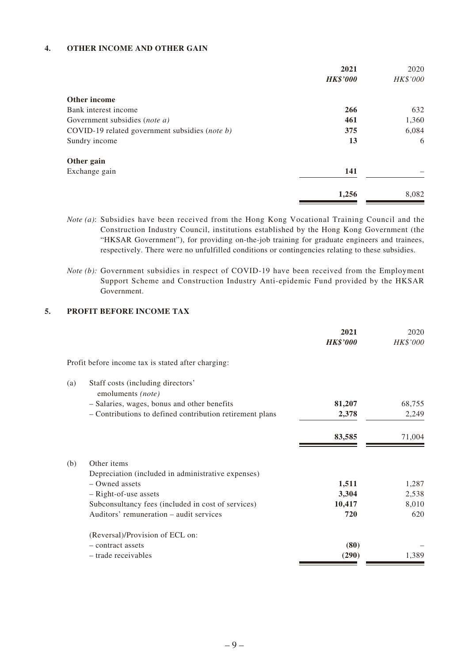#### **4. OTHER INCOME AND OTHER GAIN**

|                                                | 2021<br><b>HK\$'000</b> | 2020<br>HK\$'000 |
|------------------------------------------------|-------------------------|------------------|
|                                                |                         |                  |
| Other income                                   |                         |                  |
| Bank interest income                           | 266                     | 632              |
| Government subsidies (note a)                  | 461                     | 1,360            |
| COVID-19 related government subsidies (note b) | 375                     | 6,084            |
| Sundry income                                  | 13                      | 6                |
| Other gain                                     |                         |                  |
| Exchange gain                                  | 141                     |                  |
|                                                | 1,256                   | 8,082            |

- *Note (a)*: Subsidies have been received from the Hong Kong Vocational Training Council and the Construction Industry Council, institutions established by the Hong Kong Government (the "HKSAR Government"), for providing on-the-job training for graduate engineers and trainees, respectively. There were no unfulfilled conditions or contingencies relating to these subsidies.
- *Note (b)*: Government subsidies in respect of COVID-19 have been received from the Employment Support Scheme and Construction Industry Anti-epidemic Fund provided by the HKSAR Government.

#### **5. PROFIT BEFORE INCOME TAX**

|     |                                                          | 2021<br><b>HK\$'000</b> | 2020<br>HK\$'000 |
|-----|----------------------------------------------------------|-------------------------|------------------|
|     | Profit before income tax is stated after charging:       |                         |                  |
| (a) | Staff costs (including directors'<br>emoluments (note)   |                         |                  |
|     | - Salaries, wages, bonus and other benefits              | 81,207                  | 68,755           |
|     | - Contributions to defined contribution retirement plans | 2,378                   | 2,249            |
|     |                                                          | 83,585                  | 71,004           |
| (b) | Other items                                              |                         |                  |
|     | Depreciation (included in administrative expenses)       |                         |                  |
|     | - Owned assets                                           | 1,511                   | 1,287            |
|     | - Right-of-use assets                                    | 3,304                   | 2,538            |
|     | Subconsultancy fees (included in cost of services)       | 10,417                  | 8,010            |
|     | Auditors' remuneration – audit services                  | 720                     | 620              |
|     | (Reversal)/Provision of ECL on:                          |                         |                  |
|     | - contract assets                                        | (80)                    |                  |
|     | - trade receivables                                      | (290)                   | 1,389            |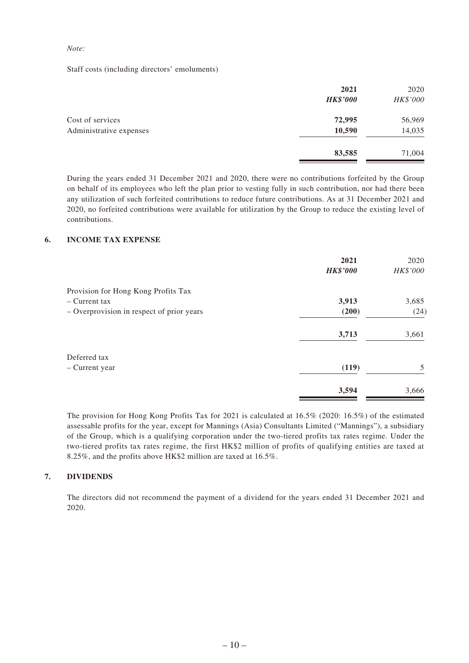#### *Note:*

Staff costs (including directors' emoluments)

|                         | 2021<br><b>HK\$'000</b> | 2020<br>HK\$'000 |
|-------------------------|-------------------------|------------------|
| Cost of services        | 72,995                  | 56,969           |
| Administrative expenses | 10,590                  | 14,035           |
|                         | 83,585                  | 71,004           |

During the years ended 31 December 2021 and 2020, there were no contributions forfeited by the Group on behalf of its employees who left the plan prior to vesting fully in such contribution, nor had there been any utilization of such forfeited contributions to reduce future contributions. As at 31 December 2021 and 2020, no forfeited contributions were available for utilization by the Group to reduce the existing level of contributions.

#### **6. INCOME TAX EXPENSE**

|                                           | 2021            | 2020     |
|-------------------------------------------|-----------------|----------|
|                                           | <b>HK\$'000</b> | HK\$'000 |
| Provision for Hong Kong Profits Tax       |                 |          |
| - Current tax                             | 3,913           | 3,685    |
| - Overprovision in respect of prior years | (200)           | (24)     |
|                                           | 3,713           | 3,661    |
| Deferred tax                              |                 |          |
| - Current year                            | (119)           | 5        |
|                                           | 3,594           | 3,666    |

The provision for Hong Kong Profits Tax for 2021 is calculated at 16.5% (2020: 16.5%) of the estimated assessable profits for the year, except for Mannings (Asia) Consultants Limited ("Mannings"), a subsidiary of the Group, which is a qualifying corporation under the two-tiered profits tax rates regime. Under the two-tiered profits tax rates regime, the first HK\$2 million of profits of qualifying entities are taxed at 8.25%, and the profits above HK\$2 million are taxed at 16.5%.

#### **7. DIVIDENDS**

The directors did not recommend the payment of a dividend for the years ended 31 December 2021 and 2020.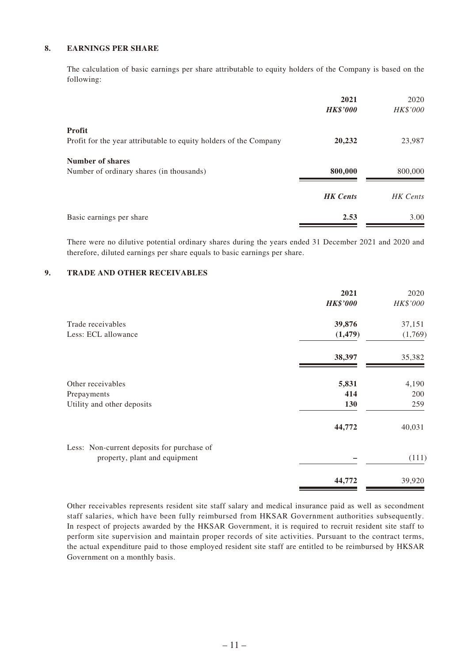#### **8. EARNINGS PER SHARE**

The calculation of basic earnings per share attributable to equity holders of the Company is based on the following:

|                                                                             | 2021<br><b>HK\$'000</b> | 2020<br>HK\$'000 |
|-----------------------------------------------------------------------------|-------------------------|------------------|
| Profit<br>Profit for the year attributable to equity holders of the Company | 20,232                  | 23,987           |
|                                                                             |                         |                  |
| <b>Number of shares</b>                                                     |                         |                  |
| Number of ordinary shares (in thousands)                                    | 800,000                 | 800,000          |
|                                                                             | <b>HK</b> Cents         | HK Cents         |
| Basic earnings per share                                                    | 2.53                    | 3.00             |

There were no dilutive potential ordinary shares during the years ended 31 December 2021 and 2020 and therefore, diluted earnings per share equals to basic earnings per share.

#### **9. TRADE AND OTHER RECEIVABLES**

|                                            | 2021            | 2020     |
|--------------------------------------------|-----------------|----------|
|                                            | <b>HK\$'000</b> | HK\$'000 |
| Trade receivables                          | 39,876          | 37,151   |
| Less: ECL allowance                        | (1, 479)        | (1,769)  |
|                                            | 38,397          | 35,382   |
| Other receivables                          | 5,831           | 4,190    |
| Prepayments                                | 414             | 200      |
| Utility and other deposits                 | 130             | 259      |
|                                            | 44,772          | 40,031   |
| Less: Non-current deposits for purchase of |                 |          |
| property, plant and equipment              |                 | (111)    |
|                                            | 44,772          | 39,920   |

Other receivables represents resident site staff salary and medical insurance paid as well as secondment staff salaries, which have been fully reimbursed from HKSAR Government authorities subsequently. In respect of projects awarded by the HKSAR Government, it is required to recruit resident site staff to perform site supervision and maintain proper records of site activities. Pursuant to the contract terms, the actual expenditure paid to those employed resident site staff are entitled to be reimbursed by HKSAR Government on a monthly basis.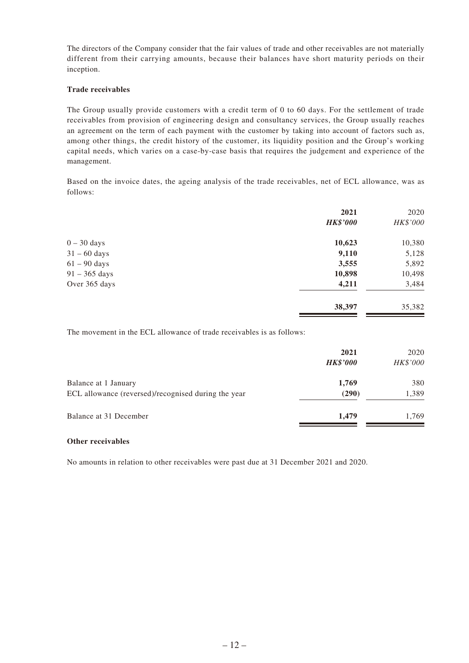The directors of the Company consider that the fair values of trade and other receivables are not materially different from their carrying amounts, because their balances have short maturity periods on their inception.

#### **Trade receivables**

The Group usually provide customers with a credit term of 0 to 60 days. For the settlement of trade receivables from provision of engineering design and consultancy services, the Group usually reaches an agreement on the term of each payment with the customer by taking into account of factors such as, among other things, the credit history of the customer, its liquidity position and the Group's working capital needs, which varies on a case-by-case basis that requires the judgement and experience of the management.

Based on the invoice dates, the ageing analysis of the trade receivables, net of ECL allowance, was as follows:

|                 | 2021            | 2020     |
|-----------------|-----------------|----------|
|                 | <b>HK\$'000</b> | HK\$'000 |
| $0 - 30$ days   | 10,623          | 10,380   |
| $31 - 60$ days  | 9,110           | 5,128    |
| $61 - 90$ days  | 3,555           | 5,892    |
| $91 - 365$ days | 10,898          | 10,498   |
| Over 365 days   | 4,211           | 3,484    |
|                 | 38,397          | 35,382   |

The movement in the ECL allowance of trade receivables is as follows:

|                                                                             | 2021<br><b>HK\$'000</b> | 2020<br>HK\$'000 |
|-----------------------------------------------------------------------------|-------------------------|------------------|
| Balance at 1 January<br>ECL allowance (reversed)/recognised during the year | 1,769<br>(290)          | 380<br>1,389     |
| Balance at 31 December                                                      | 1.479                   | 1.769            |

#### **Other receivables**

No amounts in relation to other receivables were past due at 31 December 2021 and 2020.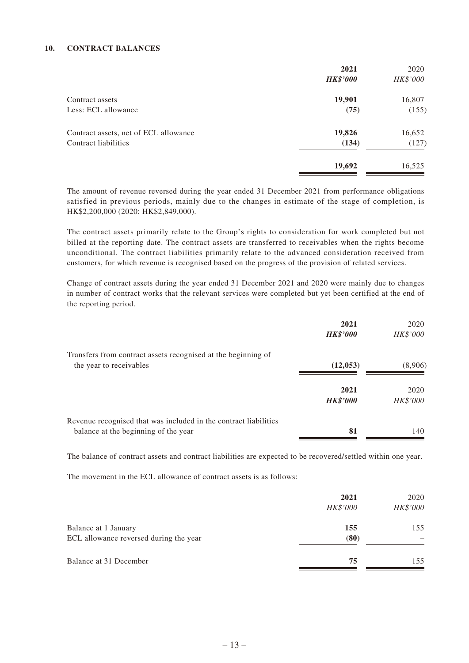#### **10. CONTRACT BALANCES**

|                                       | 2021            | 2020     |
|---------------------------------------|-----------------|----------|
|                                       | <b>HK\$'000</b> | HK\$'000 |
| Contract assets                       | 19,901          | 16,807   |
| Less: ECL allowance                   | (75)            | (155)    |
| Contract assets, net of ECL allowance | 19,826          | 16,652   |
| Contract liabilities                  | (134)           | (127)    |
|                                       | 19,692          | 16,525   |

The amount of revenue reversed during the year ended 31 December 2021 from performance obligations satisfied in previous periods, mainly due to the changes in estimate of the stage of completion, is HK\$2,200,000 (2020: HK\$2,849,000).

The contract assets primarily relate to the Group's rights to consideration for work completed but not billed at the reporting date. The contract assets are transferred to receivables when the rights become unconditional. The contract liabilities primarily relate to the advanced consideration received from customers, for which revenue is recognised based on the progress of the provision of related services.

Change of contract assets during the year ended 31 December 2021 and 2020 were mainly due to changes in number of contract works that the relevant services were completed but yet been certified at the end of the reporting period.

|                                                                  | 2021<br><b>HK\$'000</b> | 2020<br>HK\$'000 |
|------------------------------------------------------------------|-------------------------|------------------|
| Transfers from contract assets recognised at the beginning of    |                         |                  |
| the year to receivables                                          | (12, 053)               | (8,906)          |
|                                                                  | 2021                    | 2020             |
|                                                                  | <b>HK\$'000</b>         | HK\$'000         |
| Revenue recognised that was included in the contract liabilities |                         |                  |
| balance at the beginning of the year                             | 81                      | 140              |

The balance of contract assets and contract liabilities are expected to be recovered/settled within one year.

The movement in the ECL allowance of contract assets is as follows:

|                                                                | 2021<br>HK\$'000 | 2020<br>HK\$'000 |
|----------------------------------------------------------------|------------------|------------------|
| Balance at 1 January<br>ECL allowance reversed during the year | 155<br>(80)      | 155              |
| Balance at 31 December                                         | 75               | 155              |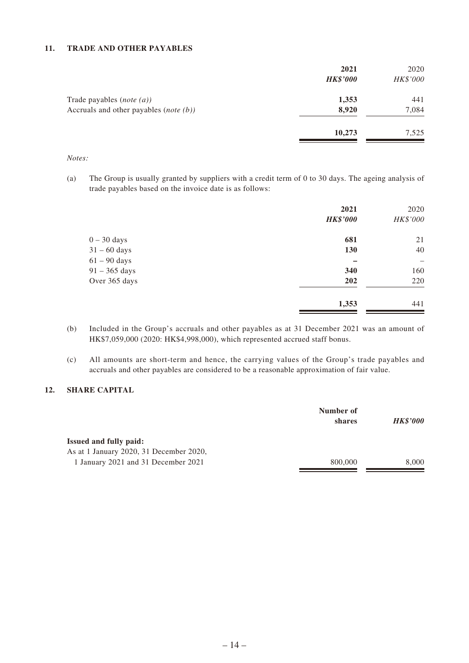#### **11. TRADE AND OTHER PAYABLES**

|                                                   | 2021<br><b>HK\$'000</b> | 2020<br>HK\$'000 |
|---------------------------------------------------|-------------------------|------------------|
| Trade payables $(note(a))$                        | 1,353                   | 441              |
| Accruals and other payables ( <i>note</i> $(b)$ ) | 8,920                   | 7,084            |
|                                                   | 10,273                  | 7,525            |

*Notes:*

(a) The Group is usually granted by suppliers with a credit term of 0 to 30 days. The ageing analysis of trade payables based on the invoice date is as follows:

|                 | 2021            | 2020              |
|-----------------|-----------------|-------------------|
|                 | <b>HK\$'000</b> | HK\$'000          |
| $0 - 30$ days   | 681             | 21                |
| $31 - 60$ days  | 130             | 40                |
| $61 - 90$ days  |                 | $\qquad \qquad -$ |
| $91 - 365$ days | 340             | 160               |
| Over 365 days   | 202             | 220               |
|                 | 1,353           | 441               |

- (b) Included in the Group's accruals and other payables as at 31 December 2021 was an amount of HK\$7,059,000 (2020: HK\$4,998,000), which represented accrued staff bonus.
- (c) All amounts are short-term and hence, the carrying values of the Group's trade payables and accruals and other payables are considered to be a reasonable approximation of fair value.

#### **12. SHARE CAPITAL**

|                                         | Number of<br>shares | <b>HK\$'000</b> |
|-----------------------------------------|---------------------|-----------------|
| <b>Issued and fully paid:</b>           |                     |                 |
| As at 1 January 2020, 31 December 2020, |                     |                 |
| 1 January 2021 and 31 December 2021     | 800,000             | 8,000           |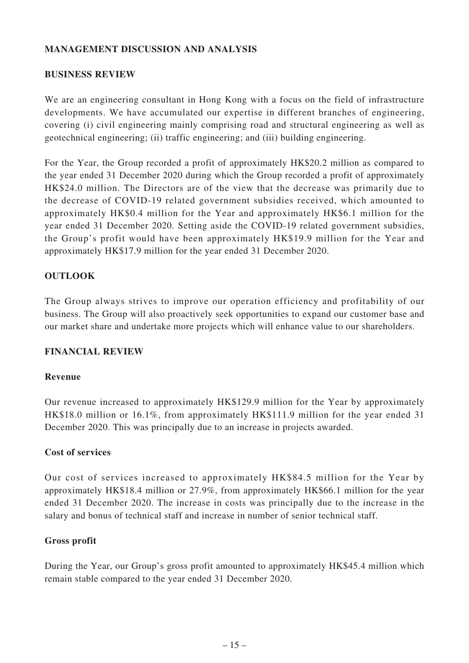### **MANAGEMENT DISCUSSION AND ANALYSIS**

### **BUSINESS REVIEW**

We are an engineering consultant in Hong Kong with a focus on the field of infrastructure developments. We have accumulated our expertise in different branches of engineering, covering (i) civil engineering mainly comprising road and structural engineering as well as geotechnical engineering; (ii) traffic engineering; and (iii) building engineering.

For the Year, the Group recorded a profit of approximately HK\$20.2 million as compared to the year ended 31 December 2020 during which the Group recorded a profit of approximately HK\$24.0 million. The Directors are of the view that the decrease was primarily due to the decrease of COVID-19 related government subsidies received, which amounted to approximately HK\$0.4 million for the Year and approximately HK\$6.1 million for the year ended 31 December 2020. Setting aside the COVID-19 related government subsidies, the Group's profit would have been approximately HK\$19.9 million for the Year and approximately HK\$17.9 million for the year ended 31 December 2020.

### **OUTLOOK**

The Group always strives to improve our operation efficiency and profitability of our business. The Group will also proactively seek opportunities to expand our customer base and our market share and undertake more projects which will enhance value to our shareholders.

### **FINANCIAL REVIEW**

### **Revenue**

Our revenue increased to approximately HK\$129.9 million for the Year by approximately HK\$18.0 million or 16.1%, from approximately HK\$111.9 million for the year ended 31 December 2020. This was principally due to an increase in projects awarded.

### **Cost of services**

Our cost of services increased to approximately HK\$84.5 million for the Year by approximately HK\$18.4 million or 27.9%, from approximately HK\$66.1 million for the year ended 31 December 2020. The increase in costs was principally due to the increase in the salary and bonus of technical staff and increase in number of senior technical staff.

### **Gross profit**

During the Year, our Group's gross profit amounted to approximately HK\$45.4 million which remain stable compared to the year ended 31 December 2020.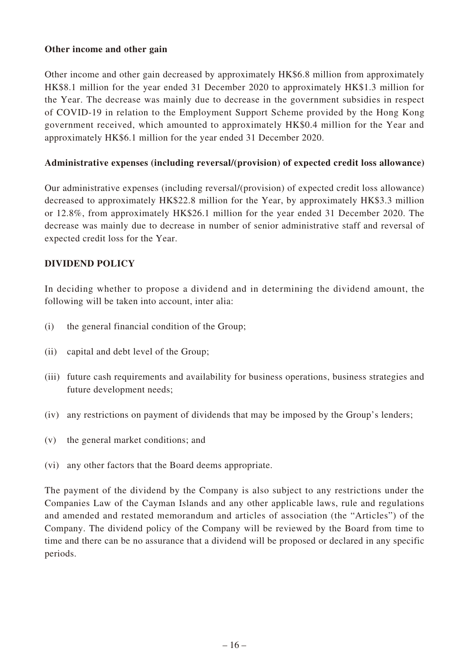### **Other income and other gain**

Other income and other gain decreased by approximately HK\$6.8 million from approximately HK\$8.1 million for the year ended 31 December 2020 to approximately HK\$1.3 million for the Year. The decrease was mainly due to decrease in the government subsidies in respect of COVID-19 in relation to the Employment Support Scheme provided by the Hong Kong government received, which amounted to approximately HK\$0.4 million for the Year and approximately HK\$6.1 million for the year ended 31 December 2020.

### **Administrative expenses (including reversal/(provision) of expected credit loss allowance)**

Our administrative expenses (including reversal/(provision) of expected credit loss allowance) decreased to approximately HK\$22.8 million for the Year, by approximately HK\$3.3 million or 12.8%, from approximately HK\$26.1 million for the year ended 31 December 2020. The decrease was mainly due to decrease in number of senior administrative staff and reversal of expected credit loss for the Year.

### **DIVIDEND POLICY**

In deciding whether to propose a dividend and in determining the dividend amount, the following will be taken into account, inter alia:

- (i) the general financial condition of the Group;
- (ii) capital and debt level of the Group;
- (iii) future cash requirements and availability for business operations, business strategies and future development needs;
- (iv) any restrictions on payment of dividends that may be imposed by the Group's lenders;
- (v) the general market conditions; and
- (vi) any other factors that the Board deems appropriate.

The payment of the dividend by the Company is also subject to any restrictions under the Companies Law of the Cayman Islands and any other applicable laws, rule and regulations and amended and restated memorandum and articles of association (the "Articles") of the Company. The dividend policy of the Company will be reviewed by the Board from time to time and there can be no assurance that a dividend will be proposed or declared in any specific periods.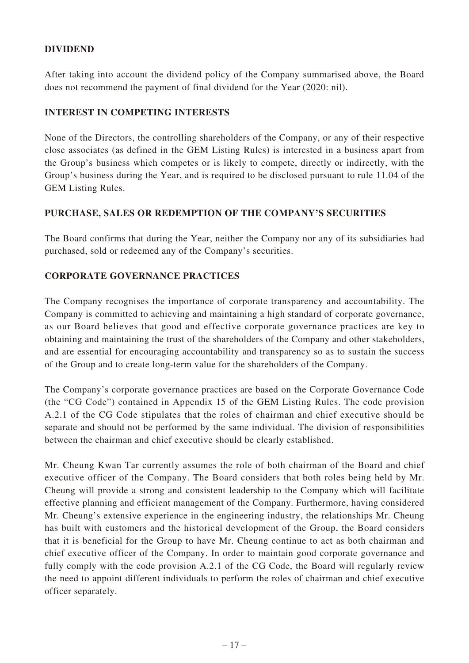### **DIVIDEND**

After taking into account the dividend policy of the Company summarised above, the Board does not recommend the payment of final dividend for the Year (2020: nil).

### **INTEREST IN COMPETING INTERESTS**

None of the Directors, the controlling shareholders of the Company, or any of their respective close associates (as defined in the GEM Listing Rules) is interested in a business apart from the Group's business which competes or is likely to compete, directly or indirectly, with the Group's business during the Year, and is required to be disclosed pursuant to rule 11.04 of the GEM Listing Rules.

### **PURCHASE, SALES OR REDEMPTION OF THE COMPANY'S SECURITIES**

The Board confirms that during the Year, neither the Company nor any of its subsidiaries had purchased, sold or redeemed any of the Company's securities.

### **CORPORATE GOVERNANCE PRACTICES**

The Company recognises the importance of corporate transparency and accountability. The Company is committed to achieving and maintaining a high standard of corporate governance, as our Board believes that good and effective corporate governance practices are key to obtaining and maintaining the trust of the shareholders of the Company and other stakeholders, and are essential for encouraging accountability and transparency so as to sustain the success of the Group and to create long-term value for the shareholders of the Company.

The Company's corporate governance practices are based on the Corporate Governance Code (the "CG Code") contained in Appendix 15 of the GEM Listing Rules. The code provision A.2.1 of the CG Code stipulates that the roles of chairman and chief executive should be separate and should not be performed by the same individual. The division of responsibilities between the chairman and chief executive should be clearly established.

Mr. Cheung Kwan Tar currently assumes the role of both chairman of the Board and chief executive officer of the Company. The Board considers that both roles being held by Mr. Cheung will provide a strong and consistent leadership to the Company which will facilitate effective planning and efficient management of the Company. Furthermore, having considered Mr. Cheung's extensive experience in the engineering industry, the relationships Mr. Cheung has built with customers and the historical development of the Group, the Board considers that it is beneficial for the Group to have Mr. Cheung continue to act as both chairman and chief executive officer of the Company. In order to maintain good corporate governance and fully comply with the code provision A.2.1 of the CG Code, the Board will regularly review the need to appoint different individuals to perform the roles of chairman and chief executive officer separately.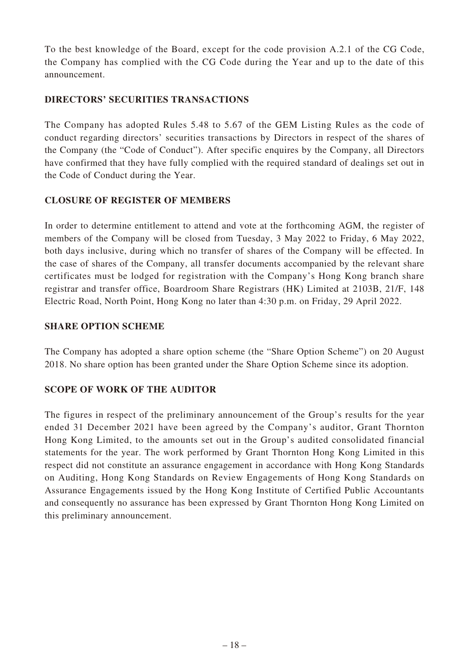To the best knowledge of the Board, except for the code provision A.2.1 of the CG Code, the Company has complied with the CG Code during the Year and up to the date of this announcement.

### **DIRECTORS' SECURITIES TRANSACTIONS**

The Company has adopted Rules 5.48 to 5.67 of the GEM Listing Rules as the code of conduct regarding directors' securities transactions by Directors in respect of the shares of the Company (the "Code of Conduct"). After specific enquires by the Company, all Directors have confirmed that they have fully complied with the required standard of dealings set out in the Code of Conduct during the Year.

# **CLOSURE OF REGISTER OF MEMBERS**

In order to determine entitlement to attend and vote at the forthcoming AGM, the register of members of the Company will be closed from Tuesday, 3 May 2022 to Friday, 6 May 2022, both days inclusive, during which no transfer of shares of the Company will be effected. In the case of shares of the Company, all transfer documents accompanied by the relevant share certificates must be lodged for registration with the Company's Hong Kong branch share registrar and transfer office, Boardroom Share Registrars (HK) Limited at 2103B, 21/F, 148 Electric Road, North Point, Hong Kong no later than 4:30 p.m. on Friday, 29 April 2022.

### **SHARE OPTION SCHEME**

The Company has adopted a share option scheme (the "Share Option Scheme") on 20 August 2018. No share option has been granted under the Share Option Scheme since its adoption.

# **SCOPE OF WORK OF THE AUDITOR**

The figures in respect of the preliminary announcement of the Group's results for the year ended 31 December 2021 have been agreed by the Company's auditor, Grant Thornton Hong Kong Limited, to the amounts set out in the Group's audited consolidated financial statements for the year. The work performed by Grant Thornton Hong Kong Limited in this respect did not constitute an assurance engagement in accordance with Hong Kong Standards on Auditing, Hong Kong Standards on Review Engagements of Hong Kong Standards on Assurance Engagements issued by the Hong Kong Institute of Certified Public Accountants and consequently no assurance has been expressed by Grant Thornton Hong Kong Limited on this preliminary announcement.